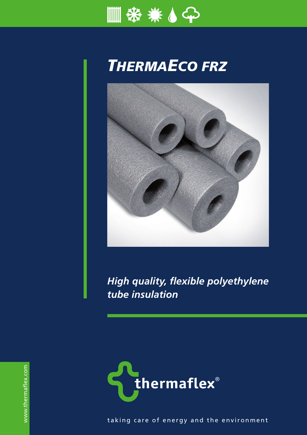

## *THERMAECO FRZ*



*High quality, flexible polyethylene tube insulation*



taking care of energy and the environment